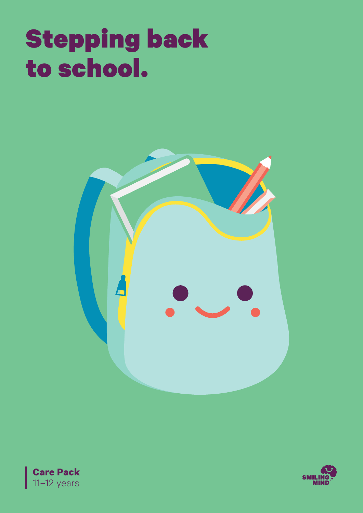# Stepping back to school.





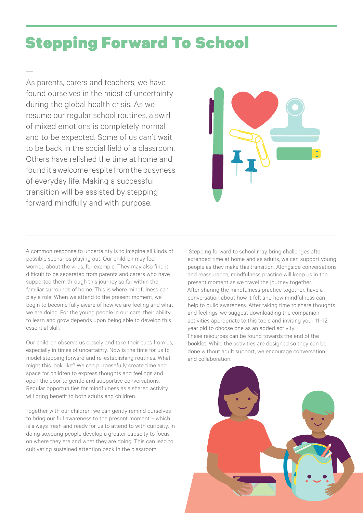# Stepping Forward To School

As parents, carers and teachers, we have found ourselves in the midst of uncertainty during the global health crisis. As we resume our regular school routines, a swirl of mixed emotions is completely normal and to be expected. Some of us can't wait to be back in the social field of a classroom. Others have relished the time at home and found it a welcome respite from the busyness of everyday life. Making a successful transition will be assisted by stepping forward mindfully and with purpose.

—



A common response to uncertainty is to imagine all kinds of possible scenarios playing out. Our children may feel worried about the virus, for example. They may also find it difficult to be separated from parents and carers who have supported them through this journey so far within the familiar surrounds of home. This is where mindfulness can play a role. When we attend to the present moment, we begin to become fully aware of how we are feeling and what we are doing. For the young people in our care, their ability to learn and grow depends upon being able to develop this essential skill.

Our children observe us closely and take their cues from us, especially in times of uncertainty. Now is the time for us to model stepping forward and re-establishing routines. What might this look like? We can purposefully create time and space for children to express thoughts and feelings and open the door to gentle and supportive conversations. Regular opportunities for mindfulness as a shared activity will bring benefit to both adults and children.

Together with our children, we can gently remind ourselves to bring our full awareness to the present moment – which is always fresh and ready for us to attend to with curiosity. In doing so,young people develop a greater capacity to focus on where they are and what they are doing. This can lead to cultivating sustained attention back in the classroom.

 Stepping forward to school may bring challenges after extended time at home and as adults, we can support young people as they make this transition. Alongside conversations and reassurance, mindfulness practice will keep us in the present moment as we travel the journey together. After sharing the mindfulness practice together, have a conversation about how it felt and how mindfulness can help to build awareness. After taking time to share thoughts and feelings, we suggest downloading the companion activities appropriate to this topic and inviting your 11–12 year old to choose one as an added activity. These resources can be found towards the end of the booklet. While the activities are designed so they can be done without adult support, we encourage conversation and collaboration.

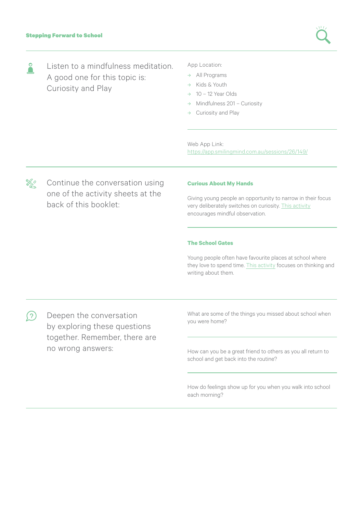Listen to a mindfulness meditation.  $\overline{\phantom{a}}$ A good one for this topic is: Curiosity and Play

#### App Location:

- → All Programs
- → Kids & Youth
- $\rightarrow$  10 12 Year Olds
- → Mindfulness 201 Curiosity
- Curiosity and Play

Web App Link: https://app.smilingmind.com.au/sessions/26/149/

</sup>≫

Continue the conversation using one of the activity sheets at the back of this booklet:

#### **Curious About My Hands**

Giving young people an opportunity to narrow in their focus very deliberately switches on curiosity. [This activity](#page-3-0) encourages mindful observation.

#### **The School Gates**

Young people often have favourite places at school where they love to spend time. [This activity](#page-4-0) focuses on thinking and writing about them.

Deepen the conversation what are some or what are some or what are some or what are some or  $\frac{1}{2}$  $(\mathcal{S})$ by exploring these questions together. Remember, there are no wrong answers:  $\frac{1}{2}$  How can you be a great friend to others as you all return to

What are some of the things you missed about school when

school and get back into the routine?

How do feelings show up for you when you walk into school each morning?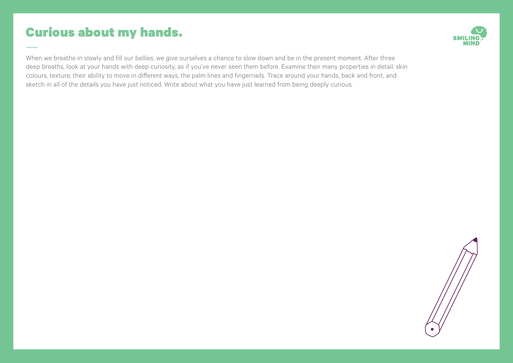## <span id="page-3-0"></span>Curious about my hands.



When we breathe in slowly and fill our bellies, we give ourselves a chance to slow down and be in the present moment. After three deep breaths, look at your hands with deep curiosity, as if you've never seen them before. Examine their many properties in detail: skin colours, texture, their ability to move in different ways, the palm lines and fingernails. Trace around your hands, back and front, and sketch in all of the details you have just noticed. Write about what you have just learned from being deeply curious.

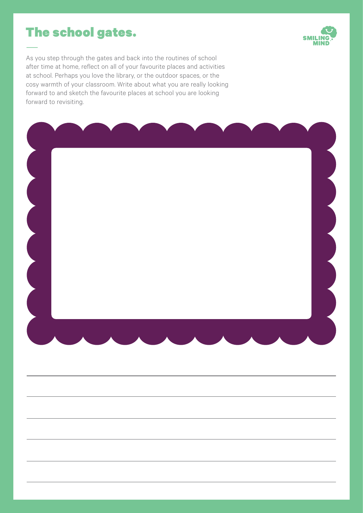## <span id="page-4-0"></span>The school gates.



As you step through the gates and back into the routines of school after time at home, reflect on all of your favourite places and activities at school. Perhaps you love the library, or the outdoor spaces, or the cosy warmth of your classroom. Write about what you are really looking forward to and sketch the favourite places at school you are looking forward to revisiting.